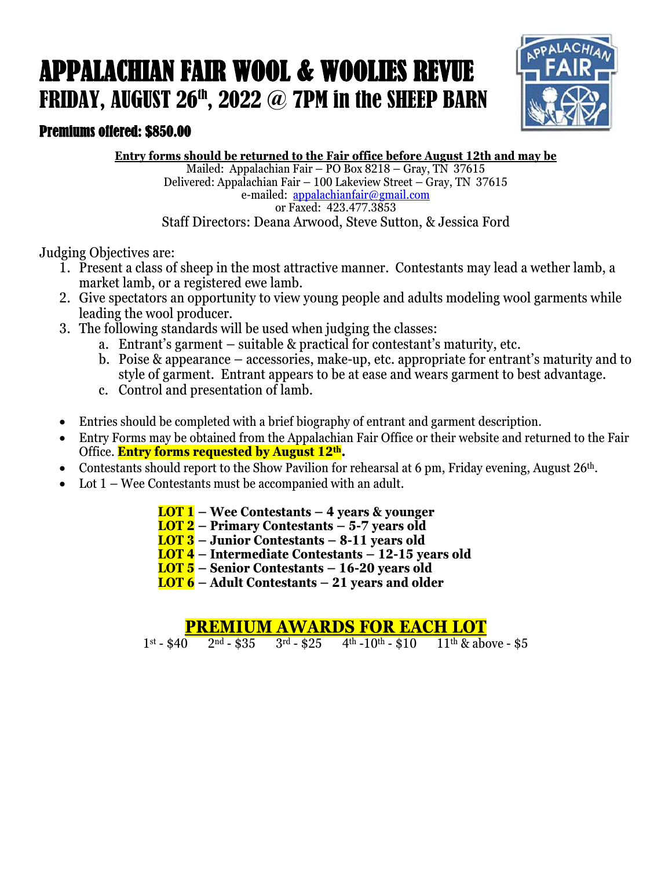## APPALACHIAN FAIR WOOL & WOOLIES REVUE FRIDAY, AUGUST  $26<sup>th</sup>$ ,  $2022$  @ 7PM in the SHEEP BARN



### Premiums offered: \$850.00

**Entry forms should be returned to the Fair office before August 12th and may be**

Mailed: Appalachian Fair – PO Box 8218 – Gray, TN 37615 Delivered: Appalachian Fair – 100 Lakeview Street – Gray, TN 37615 e-mailed: appalachianfair@gmail.com or Faxed: 423.477.3853 Staff Directors: Deana Arwood, Steve Sutton, & Jessica Ford

Judging Objectives are:

- 1. Present a class of sheep in the most attractive manner. Contestants may lead a wether lamb, a market lamb, or a registered ewe lamb.
- 2. Give spectators an opportunity to view young people and adults modeling wool garments while leading the wool producer.
- 3. The following standards will be used when judging the classes:
	- a. Entrant's garment suitable & practical for contestant's maturity, etc.
	- b. Poise & appearance accessories, make-up, etc. appropriate for entrant's maturity and to style of garment. Entrant appears to be at ease and wears garment to best advantage.
	- c. Control and presentation of lamb.
- Entries should be completed with a brief biography of entrant and garment description.
- Entry Forms may be obtained from the Appalachian Fair Office or their website and returned to the Fair Office. **Entry forms requested by August 12th.**
- Contestants should report to the Show Pavilion for rehearsal at 6 pm, Friday evening, August 26<sup>th</sup>.
- Lot  $1 -$  Wee Contestants must be accompanied with an adult.
	- **LOT 1 Wee Contestants 4 years & younger**
	- **LOT 2 Primary Contestants 5-7 years old**
	- **LOT 3 Junior Contestants 8-11 years old**

**LOT 4 – Intermediate Contestants – 12-15 years old**

**LOT 5 – Senior Contestants – 16-20 years old**

**LOT 6 – Adult Contestants – 21 years and older**

# **PREMIUM AWARDS FOR EACH LOT**<br>1st - \$40 2nd - \$35 3rd - \$25 4th -10th - \$10 11th & abe

 $11<sup>th</sup>$  & above - \$5